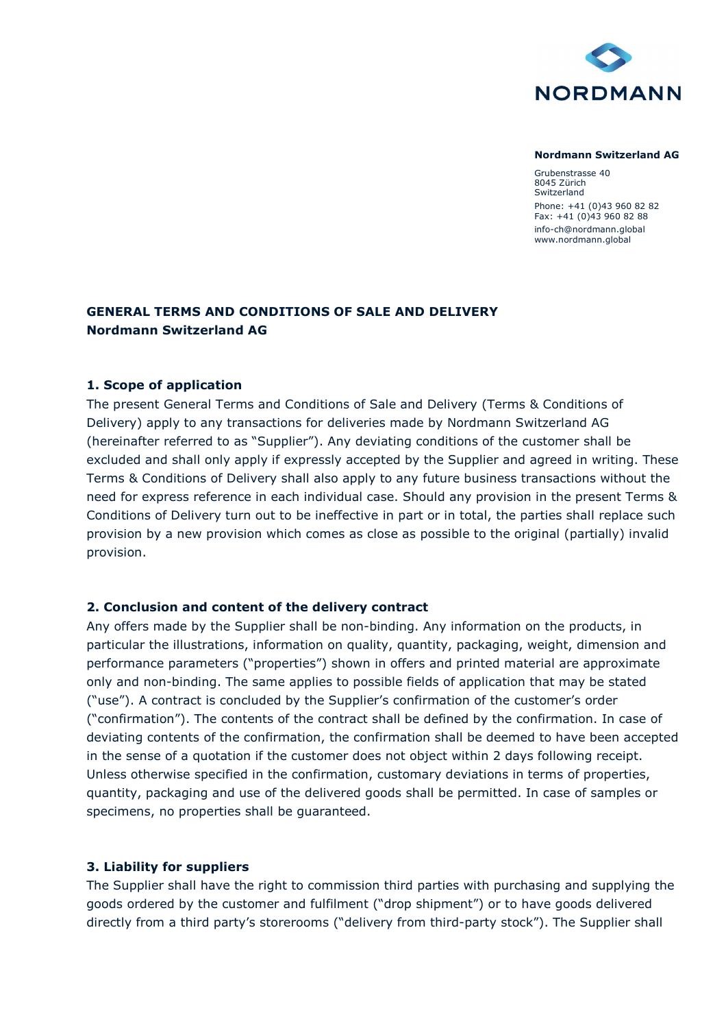

#### **Nordmann Switzerland AG**

Grubenstrasse 40 8045 Zürich Switzerland Phone: +41 (0)43 960 82 82 Fax: +41 (0)43 960 82 88 info-ch@nordmann.global www.nordmann.global

# **GENERAL TERMS AND CONDITIONS OF SALE AND DELIVERY Nordmann Switzerland AG**

#### **1. Scope of application**

The present General Terms and Conditions of Sale and Delivery (Terms & Conditions of Delivery) apply to any transactions for deliveries made by Nordmann Switzerland AG (hereinafter referred to as "Supplier"). Any deviating conditions of the customer shall be excluded and shall only apply if expressly accepted by the Supplier and agreed in writing. These Terms & Conditions of Delivery shall also apply to any future business transactions without the need for express reference in each individual case. Should any provision in the present Terms & Conditions of Delivery turn out to be ineffective in part or in total, the parties shall replace such provision by a new provision which comes as close as possible to the original (partially) invalid provision.

#### **2. Conclusion and content of the delivery contract**

Any offers made by the Supplier shall be non-binding. Any information on the products, in particular the illustrations, information on quality, quantity, packaging, weight, dimension and performance parameters ("properties") shown in offers and printed material are approximate only and non-binding. The same applies to possible fields of application that may be stated ("use"). A contract is concluded by the Supplier's confirmation of the customer's order ("confirmation"). The contents of the contract shall be defined by the confirmation. In case of deviating contents of the confirmation, the confirmation shall be deemed to have been accepted in the sense of a quotation if the customer does not object within 2 days following receipt. Unless otherwise specified in the confirmation, customary deviations in terms of properties, quantity, packaging and use of the delivered goods shall be permitted. In case of samples or specimens, no properties shall be guaranteed.

#### **3. Liability for suppliers**

The Supplier shall have the right to commission third parties with purchasing and supplying the goods ordered by the customer and fulfilment ("drop shipment") or to have goods delivered directly from a third party's storerooms ("delivery from third-party stock"). The Supplier shall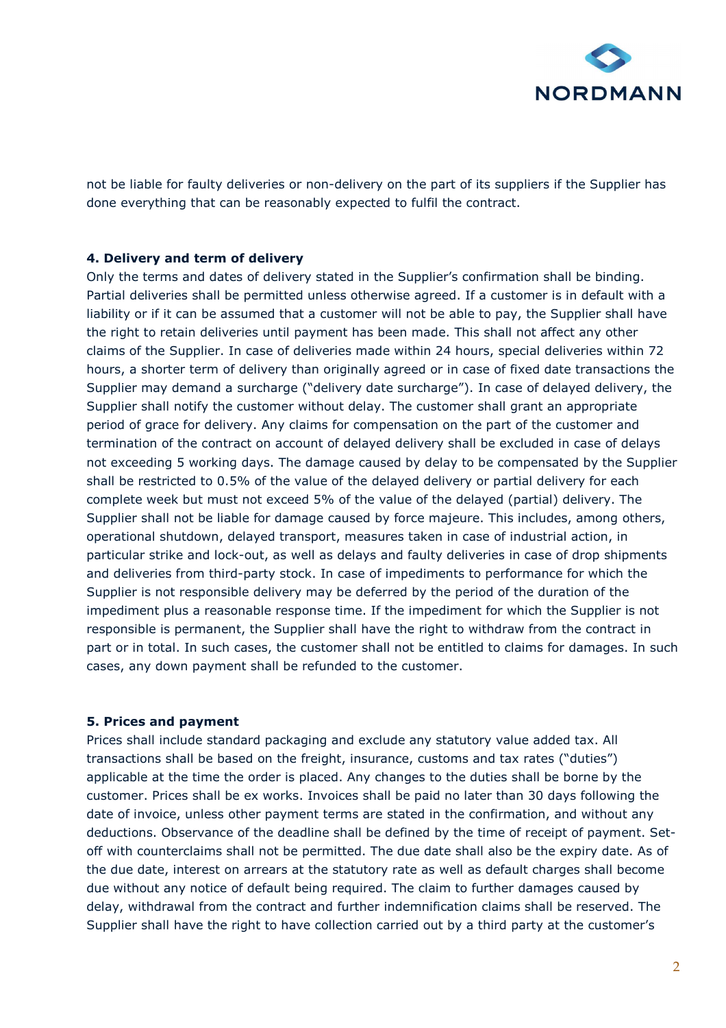

not be liable for faulty deliveries or non-delivery on the part of its suppliers if the Supplier has done everything that can be reasonably expected to fulfil the contract.

## **4. Delivery and term of delivery**

Only the terms and dates of delivery stated in the Supplier's confirmation shall be binding. Partial deliveries shall be permitted unless otherwise agreed. If a customer is in default with a liability or if it can be assumed that a customer will not be able to pay, the Supplier shall have the right to retain deliveries until payment has been made. This shall not affect any other claims of the Supplier. In case of deliveries made within 24 hours, special deliveries within 72 hours, a shorter term of delivery than originally agreed or in case of fixed date transactions the Supplier may demand a surcharge ("delivery date surcharge"). In case of delayed delivery, the Supplier shall notify the customer without delay. The customer shall grant an appropriate period of grace for delivery. Any claims for compensation on the part of the customer and termination of the contract on account of delayed delivery shall be excluded in case of delays not exceeding 5 working days. The damage caused by delay to be compensated by the Supplier shall be restricted to 0.5% of the value of the delayed delivery or partial delivery for each complete week but must not exceed 5% of the value of the delayed (partial) delivery. The Supplier shall not be liable for damage caused by force majeure. This includes, among others, operational shutdown, delayed transport, measures taken in case of industrial action, in particular strike and lock-out, as well as delays and faulty deliveries in case of drop shipments and deliveries from third-party stock. In case of impediments to performance for which the Supplier is not responsible delivery may be deferred by the period of the duration of the impediment plus a reasonable response time. If the impediment for which the Supplier is not responsible is permanent, the Supplier shall have the right to withdraw from the contract in part or in total. In such cases, the customer shall not be entitled to claims for damages. In such cases, any down payment shall be refunded to the customer.

#### **5. Prices and payment**

Prices shall include standard packaging and exclude any statutory value added tax. All transactions shall be based on the freight, insurance, customs and tax rates ("duties") applicable at the time the order is placed. Any changes to the duties shall be borne by the customer. Prices shall be ex works. Invoices shall be paid no later than 30 days following the date of invoice, unless other payment terms are stated in the confirmation, and without any deductions. Observance of the deadline shall be defined by the time of receipt of payment. Setoff with counterclaims shall not be permitted. The due date shall also be the expiry date. As of the due date, interest on arrears at the statutory rate as well as default charges shall become due without any notice of default being required. The claim to further damages caused by delay, withdrawal from the contract and further indemnification claims shall be reserved. The Supplier shall have the right to have collection carried out by a third party at the customer's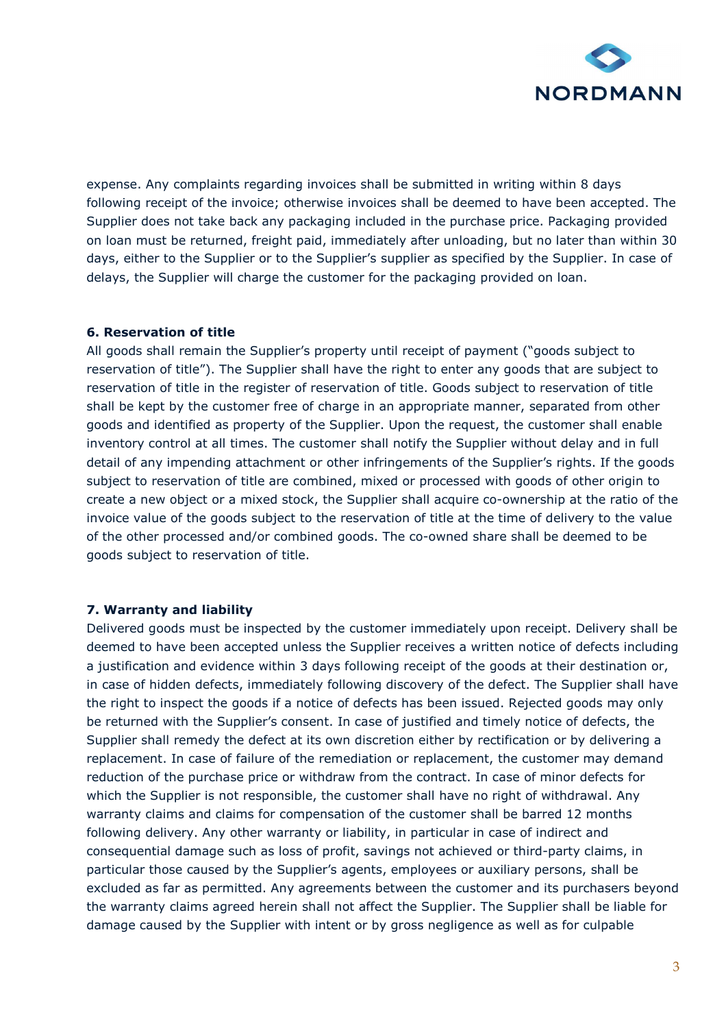

expense. Any complaints regarding invoices shall be submitted in writing within 8 days following receipt of the invoice; otherwise invoices shall be deemed to have been accepted. The Supplier does not take back any packaging included in the purchase price. Packaging provided on loan must be returned, freight paid, immediately after unloading, but no later than within 30 days, either to the Supplier or to the Supplier's supplier as specified by the Supplier. In case of delays, the Supplier will charge the customer for the packaging provided on loan.

## **6. Reservation of title**

All goods shall remain the Supplier's property until receipt of payment ("goods subject to reservation of title"). The Supplier shall have the right to enter any goods that are subject to reservation of title in the register of reservation of title. Goods subject to reservation of title shall be kept by the customer free of charge in an appropriate manner, separated from other goods and identified as property of the Supplier. Upon the request, the customer shall enable inventory control at all times. The customer shall notify the Supplier without delay and in full detail of any impending attachment or other infringements of the Supplier's rights. If the goods subject to reservation of title are combined, mixed or processed with goods of other origin to create a new object or a mixed stock, the Supplier shall acquire co-ownership at the ratio of the invoice value of the goods subject to the reservation of title at the time of delivery to the value of the other processed and/or combined goods. The co-owned share shall be deemed to be goods subject to reservation of title.

#### **7. Warranty and liability**

Delivered goods must be inspected by the customer immediately upon receipt. Delivery shall be deemed to have been accepted unless the Supplier receives a written notice of defects including a justification and evidence within 3 days following receipt of the goods at their destination or, in case of hidden defects, immediately following discovery of the defect. The Supplier shall have the right to inspect the goods if a notice of defects has been issued. Rejected goods may only be returned with the Supplier's consent. In case of justified and timely notice of defects, the Supplier shall remedy the defect at its own discretion either by rectification or by delivering a replacement. In case of failure of the remediation or replacement, the customer may demand reduction of the purchase price or withdraw from the contract. In case of minor defects for which the Supplier is not responsible, the customer shall have no right of withdrawal. Any warranty claims and claims for compensation of the customer shall be barred 12 months following delivery. Any other warranty or liability, in particular in case of indirect and consequential damage such as loss of profit, savings not achieved or third-party claims, in particular those caused by the Supplier's agents, employees or auxiliary persons, shall be excluded as far as permitted. Any agreements between the customer and its purchasers beyond the warranty claims agreed herein shall not affect the Supplier. The Supplier shall be liable for damage caused by the Supplier with intent or by gross negligence as well as for culpable